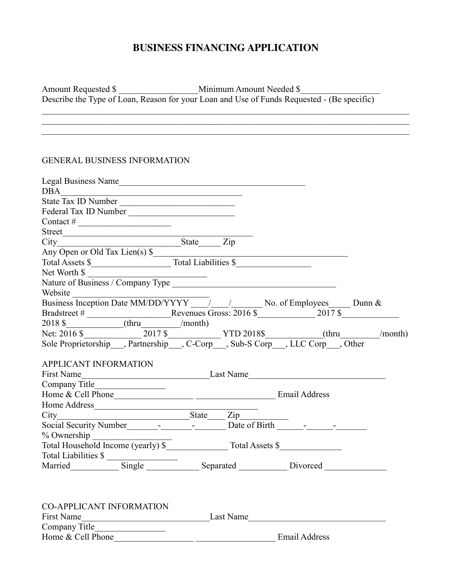# **BUSINESS FINANCING APPLICATION**

 $\mathcal{L}_\mathcal{L} = \{ \mathcal{L}_\mathcal{L} = \{ \mathcal{L}_\mathcal{L} = \{ \mathcal{L}_\mathcal{L} = \{ \mathcal{L}_\mathcal{L} = \{ \mathcal{L}_\mathcal{L} = \{ \mathcal{L}_\mathcal{L} = \{ \mathcal{L}_\mathcal{L} = \{ \mathcal{L}_\mathcal{L} = \{ \mathcal{L}_\mathcal{L} = \{ \mathcal{L}_\mathcal{L} = \{ \mathcal{L}_\mathcal{L} = \{ \mathcal{L}_\mathcal{L} = \{ \mathcal{L}_\mathcal{L} = \{ \mathcal{L}_\mathcal{$  $\mathcal{L}_\mathcal{L} = \{ \mathcal{L}_\mathcal{L} = \{ \mathcal{L}_\mathcal{L} = \{ \mathcal{L}_\mathcal{L} = \{ \mathcal{L}_\mathcal{L} = \{ \mathcal{L}_\mathcal{L} = \{ \mathcal{L}_\mathcal{L} = \{ \mathcal{L}_\mathcal{L} = \{ \mathcal{L}_\mathcal{L} = \{ \mathcal{L}_\mathcal{L} = \{ \mathcal{L}_\mathcal{L} = \{ \mathcal{L}_\mathcal{L} = \{ \mathcal{L}_\mathcal{L} = \{ \mathcal{L}_\mathcal{L} = \{ \mathcal{L}_\mathcal{$  $\mathcal{L}_\mathcal{L} = \{ \mathcal{L}_\mathcal{L} = \{ \mathcal{L}_\mathcal{L} = \{ \mathcal{L}_\mathcal{L} = \{ \mathcal{L}_\mathcal{L} = \{ \mathcal{L}_\mathcal{L} = \{ \mathcal{L}_\mathcal{L} = \{ \mathcal{L}_\mathcal{L} = \{ \mathcal{L}_\mathcal{L} = \{ \mathcal{L}_\mathcal{L} = \{ \mathcal{L}_\mathcal{L} = \{ \mathcal{L}_\mathcal{L} = \{ \mathcal{L}_\mathcal{L} = \{ \mathcal{L}_\mathcal{L} = \{ \mathcal{L}_\mathcal{$ 

Amount Requested \$ Describe the Type of Loan, Reason for your Loan and Use of Funds Requested - (Be specific)

#### GENERAL BUSINESS INFORMATION

| Legal Business Name                                                                                                                                                                                                            |                                                                     |  |                      |  |
|--------------------------------------------------------------------------------------------------------------------------------------------------------------------------------------------------------------------------------|---------------------------------------------------------------------|--|----------------------|--|
|                                                                                                                                                                                                                                |                                                                     |  |                      |  |
| DBA<br>State Tax ID Number                                                                                                                                                                                                     |                                                                     |  |                      |  |
| Federal Tax ID Number                                                                                                                                                                                                          |                                                                     |  |                      |  |
| Contact # $\frac{1}{\sqrt{1-\frac{1}{2}} \cdot \frac{1}{2}}$                                                                                                                                                                   |                                                                     |  |                      |  |
|                                                                                                                                                                                                                                |                                                                     |  |                      |  |
|                                                                                                                                                                                                                                |                                                                     |  |                      |  |
| Street<br>City<br>Any Open or Old Tax Lien(s) \$<br>Total Assets \$<br>Total Liabilities \$                                                                                                                                    |                                                                     |  |                      |  |
|                                                                                                                                                                                                                                |                                                                     |  |                      |  |
| Net Worth $\frac{1}{2}$                                                                                                                                                                                                        |                                                                     |  |                      |  |
|                                                                                                                                                                                                                                |                                                                     |  |                      |  |
| Website $\frac{1}{\text{Business Inception Date MM/DD/YYYY}}$ / No. of Employees Dunn &                                                                                                                                        |                                                                     |  |                      |  |
|                                                                                                                                                                                                                                |                                                                     |  |                      |  |
|                                                                                                                                                                                                                                |                                                                     |  |                      |  |
|                                                                                                                                                                                                                                |                                                                     |  |                      |  |
|                                                                                                                                                                                                                                |                                                                     |  |                      |  |
| Bradstreet # Revenues Gross: 2016 \$<br>2017 \$<br>2018 S (thru month)<br>Net: 2016 \$ 2017 \$ Partnership Partnership C-Corp Sub-S Corp LLC Corp Other (thru month)                                                           |                                                                     |  |                      |  |
|                                                                                                                                                                                                                                |                                                                     |  |                      |  |
| <b>APPLICANT INFORMATION</b><br>Example of Last Name<br>First Name                                                                                                                                                             |                                                                     |  |                      |  |
|                                                                                                                                                                                                                                |                                                                     |  |                      |  |
|                                                                                                                                                                                                                                |                                                                     |  |                      |  |
|                                                                                                                                                                                                                                |                                                                     |  |                      |  |
|                                                                                                                                                                                                                                |                                                                     |  |                      |  |
| City<br>Social Security Number<br>State <u>City</u><br>State City<br>Date of Birth City<br>Date of Birth City<br>2.10                                                                                                          |                                                                     |  |                      |  |
| % Ownership                                                                                                                                                                                                                    |                                                                     |  |                      |  |
| Total Household Income (yearly) \$                                                                                                                                                                                             |                                                                     |  |                      |  |
|                                                                                                                                                                                                                                |                                                                     |  |                      |  |
|                                                                                                                                                                                                                                |                                                                     |  |                      |  |
|                                                                                                                                                                                                                                |                                                                     |  |                      |  |
|                                                                                                                                                                                                                                |                                                                     |  |                      |  |
|                                                                                                                                                                                                                                |                                                                     |  |                      |  |
| <b>CO-APPLICANT INFORMATION</b>                                                                                                                                                                                                |                                                                     |  |                      |  |
| First Name Last Name Last Name Last Name Last Name Last Name Last Name Last Name Last Name Last Name Last Name Last Name Last Name Last Name Last Name Last Name Last Name Last Name Last Name Last Name Last Name Last Name L |                                                                     |  |                      |  |
|                                                                                                                                                                                                                                |                                                                     |  |                      |  |
| Home & Cell Phone                                                                                                                                                                                                              | <u> 1989 - Johann Stein, mars an deus Amerikaansk kommunister (</u> |  | <b>Email Address</b> |  |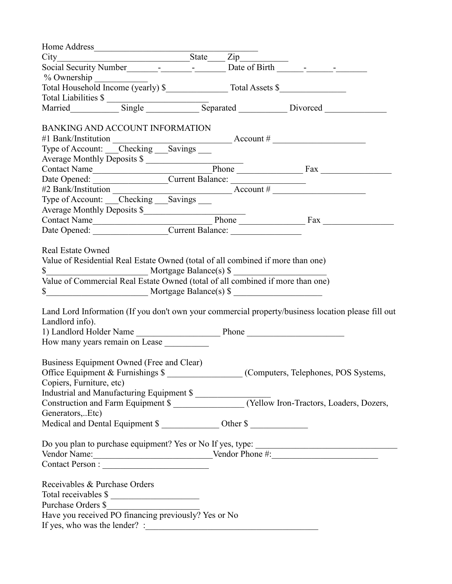| % Ownership                                                                                                                                                                                                                                                                                                                                                                                                                                                                                                                                             |  |  |  |  |
|---------------------------------------------------------------------------------------------------------------------------------------------------------------------------------------------------------------------------------------------------------------------------------------------------------------------------------------------------------------------------------------------------------------------------------------------------------------------------------------------------------------------------------------------------------|--|--|--|--|
|                                                                                                                                                                                                                                                                                                                                                                                                                                                                                                                                                         |  |  |  |  |
|                                                                                                                                                                                                                                                                                                                                                                                                                                                                                                                                                         |  |  |  |  |
|                                                                                                                                                                                                                                                                                                                                                                                                                                                                                                                                                         |  |  |  |  |
| BANKING AND ACCOUNT INFORMATION                                                                                                                                                                                                                                                                                                                                                                                                                                                                                                                         |  |  |  |  |
|                                                                                                                                                                                                                                                                                                                                                                                                                                                                                                                                                         |  |  |  |  |
|                                                                                                                                                                                                                                                                                                                                                                                                                                                                                                                                                         |  |  |  |  |
| Average Monthly Deposits \$                                                                                                                                                                                                                                                                                                                                                                                                                                                                                                                             |  |  |  |  |
|                                                                                                                                                                                                                                                                                                                                                                                                                                                                                                                                                         |  |  |  |  |
|                                                                                                                                                                                                                                                                                                                                                                                                                                                                                                                                                         |  |  |  |  |
| Date Opened: Current Balance:<br>#2 Bank/Institution Current Balance:<br>Type of Account: Checking Savings Recount #                                                                                                                                                                                                                                                                                                                                                                                                                                    |  |  |  |  |
|                                                                                                                                                                                                                                                                                                                                                                                                                                                                                                                                                         |  |  |  |  |
| Average Monthly Deposits \$                                                                                                                                                                                                                                                                                                                                                                                                                                                                                                                             |  |  |  |  |
|                                                                                                                                                                                                                                                                                                                                                                                                                                                                                                                                                         |  |  |  |  |
|                                                                                                                                                                                                                                                                                                                                                                                                                                                                                                                                                         |  |  |  |  |
| <b>Real Estate Owned</b><br>Value of Residential Real Estate Owned (total of all combined if more than one)<br>\$<br>Value of Commercial Real Estate Owned (total of all combined if more than one)<br>$\frac{\text{S}}{\text{S}}$ Mortgage Balance(s) $\frac{\text{S}}{\text{S}}$<br>Land Lord Information (If you don't own your commercial property/business location please fill out<br>Landlord info).<br>1) Landlord Holder Name Phone<br>How many years remain on Lease<br>Business Equipment Owned (Free and Clear)<br>Copiers, Furniture, etc) |  |  |  |  |
| Industrial and Manufacturing Equipment \$<br>Construction and Farm Equipment \$<br>(Yellow Iron-Tractors, Loaders, Dozers,                                                                                                                                                                                                                                                                                                                                                                                                                              |  |  |  |  |
|                                                                                                                                                                                                                                                                                                                                                                                                                                                                                                                                                         |  |  |  |  |
| Generators,Etc)                                                                                                                                                                                                                                                                                                                                                                                                                                                                                                                                         |  |  |  |  |
| Medical and Dental Equipment \$                                                                                                                                                                                                                                                                                                                                                                                                                                                                                                                         |  |  |  |  |
| Do you plan to purchase equipment? Yes or No If yes, type:<br>Vendor Name: Vendor Phone #:                                                                                                                                                                                                                                                                                                                                                                                                                                                              |  |  |  |  |
| Receivables & Purchase Orders                                                                                                                                                                                                                                                                                                                                                                                                                                                                                                                           |  |  |  |  |
| Total receivables \$                                                                                                                                                                                                                                                                                                                                                                                                                                                                                                                                    |  |  |  |  |
| Purchase Orders \$<br>Have you received PO financing previously? Yes or No                                                                                                                                                                                                                                                                                                                                                                                                                                                                              |  |  |  |  |
|                                                                                                                                                                                                                                                                                                                                                                                                                                                                                                                                                         |  |  |  |  |
| If yes, who was the lender? $\frac{1}{2}$ $\frac{1}{2}$ $\frac{1}{2}$ $\frac{1}{2}$ $\frac{1}{2}$ $\frac{1}{2}$ $\frac{1}{2}$ $\frac{1}{2}$ $\frac{1}{2}$ $\frac{1}{2}$ $\frac{1}{2}$ $\frac{1}{2}$ $\frac{1}{2}$ $\frac{1}{2}$ $\frac{1}{2}$ $\frac{1}{2}$ $\frac{1}{2}$ $\frac{1}{2}$ $\frac{1}{2}$ $\frac$                                                                                                                                                                                                                                           |  |  |  |  |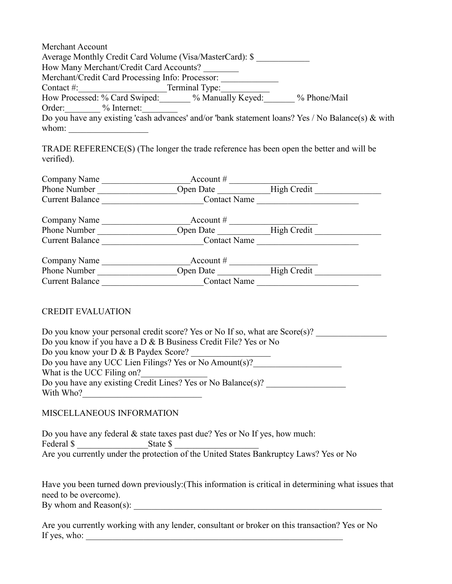| Merchant Account                                                                                     |                |              |
|------------------------------------------------------------------------------------------------------|----------------|--------------|
| Average Monthly Credit Card Volume (Visa/MasterCard): \$                                             |                |              |
| How Many Merchant/Credit Card Accounts?                                                              |                |              |
| Merchant/Credit Card Processing Info: Processor:                                                     |                |              |
| Contact #: $\qquad \qquad$                                                                           | Terminal Type: |              |
| How Processed: % Card Swiped: % Manually Keyed:                                                      |                | % Phone/Mail |
| Order: % Internet:                                                                                   |                |              |
| Do you have any existing 'cash advances' and/or 'bank statement loans? Yes / No Balance(s) $\&$ with |                |              |
| whom:                                                                                                |                |              |

TRADE REFERENCE(S) (The longer the trade reference has been open the better and will be verified).

| Company Name           | Account $#$         |             |  |
|------------------------|---------------------|-------------|--|
| Phone Number           | Open Date           | High Credit |  |
| <b>Current Balance</b> | <b>Contact Name</b> |             |  |
| Company Name           | Account $#$         |             |  |
| Phone Number           | Open Date           | High Credit |  |
| <b>Current Balance</b> | <b>Contact Name</b> |             |  |
| Company Name           | Account $#$         |             |  |
| Phone Number           | Open Date           | High Credit |  |
| <b>Current Balance</b> | <b>Contact Name</b> |             |  |

## CREDIT EVALUATION

| Do you know your personal credit score? Yes or No If so, what are $Score(s)$ ? |  |
|--------------------------------------------------------------------------------|--|
| Do you know if you have a $D \& B$ Business Credit File? Yes or No             |  |
| Do you know your D & B Paydex Score?                                           |  |
| Do you have any UCC Lien Filings? Yes or No Amount(s)?                         |  |
| What is the UCC Filing on?                                                     |  |
| Do you have any existing Credit Lines? Yes or No Balance(s)?                   |  |
| With Who?                                                                      |  |

#### MISCELLANEOUS INFORMATION

Do you have any federal & state taxes past due? Yes or No If yes, how much: Federal \$ State \$ Are you currently under the protection of the United States Bankruptcy Laws? Yes or No

Have you been turned down previously:(This information is critical in determining what issues that need to be overcome). By whom and  $Reason(s)$ :

Are you currently working with any lender, consultant or broker on this transaction? Yes or No If yes, who: